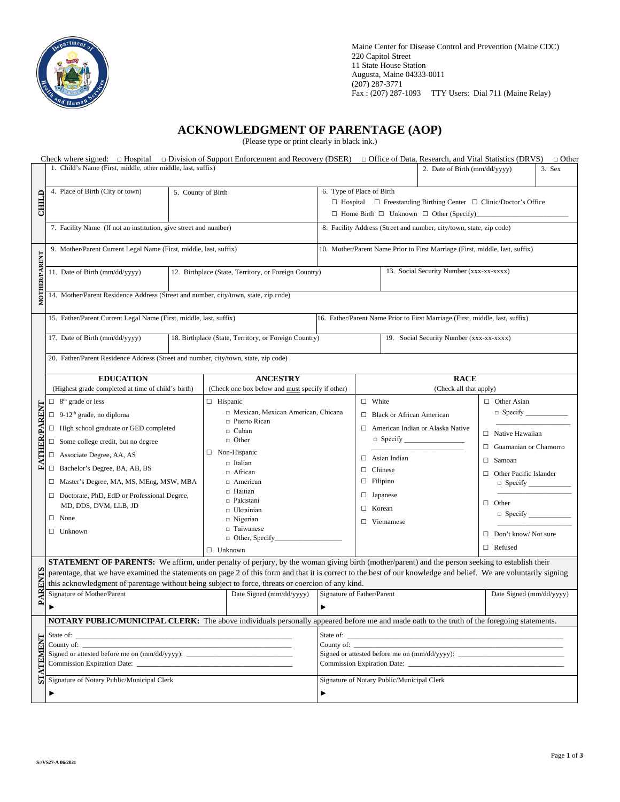

Maine Center for Disease Control and Prevention (Maine CDC) 220 Capitol Street 11 State House Station Augusta, Maine 04333-0011 (207) 287-3771 Fax : (207) 287-1093 TTY Users: Dial 711 (Maine Relay)

## **ACKNOWLEDGMENT OF PARENTAGE (AOP)**

(Please type or print clearly in black ink.)

|                 | Check where signed: □ Hospital □ Division of Support Enforcement and Recovery (DSER) □ Office of Data, Research, and Vital Statistics (DRVS)                      |                                                                                   |                                                                                   |                                                                              |                        |                               | $\Box$ Other |  |  |
|-----------------|-------------------------------------------------------------------------------------------------------------------------------------------------------------------|-----------------------------------------------------------------------------------|-----------------------------------------------------------------------------------|------------------------------------------------------------------------------|------------------------|-------------------------------|--------------|--|--|
|                 | 1. Child's Name (First, middle, other middle, last, suffix)                                                                                                       |                                                                                   |                                                                                   | 2. Date of Birth (mm/dd/yyyy)                                                |                        | 3. Sex                        |              |  |  |
|                 | 4. Place of Birth (City or town)<br>5. County of Birth                                                                                                            |                                                                                   | 6. Type of Place of Birth                                                         |                                                                              |                        |                               |              |  |  |
| CHILD           |                                                                                                                                                                   |                                                                                   | $\Box$ Hospital $\Box$ Freestanding Birthing Center $\Box$ Clinic/Doctor's Office |                                                                              |                        |                               |              |  |  |
|                 |                                                                                                                                                                   |                                                                                   | $\Box$ Home Birth $\Box$ Unknown $\Box$ Other (Specify)                           |                                                                              |                        |                               |              |  |  |
|                 |                                                                                                                                                                   |                                                                                   |                                                                                   |                                                                              |                        |                               |              |  |  |
|                 | 7. Facility Name (If not an institution, give street and number)                                                                                                  |                                                                                   |                                                                                   | 8. Facility Address (Street and number, city/town, state, zip code)          |                        |                               |              |  |  |
| MOTHER/PARENT   | 9. Mother/Parent Current Legal Name (First, middle, last, suffix)                                                                                                 |                                                                                   |                                                                                   | 10. Mother/Parent Name Prior to First Marriage (First, middle, last, suffix) |                        |                               |              |  |  |
|                 |                                                                                                                                                                   |                                                                                   |                                                                                   |                                                                              |                        |                               |              |  |  |
|                 |                                                                                                                                                                   |                                                                                   |                                                                                   | 13. Social Security Number (xxx-xx-xxxx)                                     |                        |                               |              |  |  |
|                 | 11. Date of Birth (mm/dd/yyyy)<br>12. Birthplace (State, Territory, or Foreign Country)                                                                           |                                                                                   |                                                                                   |                                                                              |                        |                               |              |  |  |
|                 |                                                                                                                                                                   |                                                                                   |                                                                                   |                                                                              |                        |                               |              |  |  |
|                 | 14. Mother/Parent Residence Address (Street and number, city/town, state, zip code)                                                                               |                                                                                   |                                                                                   |                                                                              |                        |                               |              |  |  |
|                 |                                                                                                                                                                   |                                                                                   |                                                                                   |                                                                              |                        |                               |              |  |  |
|                 | 15. Father/Parent Current Legal Name (First, middle, last, suffix)                                                                                                |                                                                                   | 16. Father/Parent Name Prior to First Marriage (First, middle, last, suffix)      |                                                                              |                        |                               |              |  |  |
|                 | 17. Date of Birth (mm/dd/yyyy)<br>18. Birthplace (State, Territory, or Foreign Country)                                                                           |                                                                                   | 19. Social Security Number (xxx-xx-xxxx)                                          |                                                                              |                        |                               |              |  |  |
|                 |                                                                                                                                                                   |                                                                                   |                                                                                   |                                                                              |                        |                               |              |  |  |
|                 | 20. Father/Parent Residence Address (Street and number, city/town, state, zip code)                                                                               |                                                                                   |                                                                                   |                                                                              |                        |                               |              |  |  |
|                 |                                                                                                                                                                   |                                                                                   |                                                                                   |                                                                              |                        |                               |              |  |  |
|                 | <b>EDUCATION</b><br><b>ANCESTRY</b>                                                                                                                               |                                                                                   |                                                                                   |                                                                              | <b>RACE</b>            |                               |              |  |  |
|                 | (Highest grade completed at time of child's birth)<br>(Check one box below and must specify if other)                                                             |                                                                                   |                                                                                   |                                                                              | (Check all that apply) |                               |              |  |  |
|                 | $\Box$ 8 <sup>th</sup> grade or less<br>$\Box$ Hispanic                                                                                                           |                                                                                   |                                                                                   | $\Box$ White                                                                 |                        | $\Box$ Other Asian            |              |  |  |
|                 | $\Box$ 9-12 <sup>th</sup> grade, no diploma                                                                                                                       | □ Mexican, Mexican American, Chicana<br>□ Puerto Rican<br>□ Cuban<br>$\Box$ Other |                                                                                   | <b>Black or African American</b><br>П.                                       |                        | $\Box$ Specify                |              |  |  |
|                 | $\Box$ High school graduate or GED completed                                                                                                                      |                                                                                   |                                                                                   | □ American Indian or Alaska Native                                           |                        |                               |              |  |  |
|                 | $\Box$ Some college credit, but no degree                                                                                                                         |                                                                                   |                                                                                   |                                                                              |                        | $\Box$ Native Hawaiian        |              |  |  |
| FATHER/PARENT   | $\Box$ Associate Degree, AA, AS                                                                                                                                   | $\Box$ Non-Hispanic                                                               |                                                                                   |                                                                              |                        | $\Box$ Guamanian or Chamorro  |              |  |  |
|                 |                                                                                                                                                                   | □ Italian                                                                         |                                                                                   | Asian Indian<br>п                                                            |                        | $\Box$ Samoan                 |              |  |  |
|                 | □ Bachelor's Degree, BA, AB, BS                                                                                                                                   | $\Box$ African                                                                    |                                                                                   | Chinese<br>□                                                                 |                        | $\Box$ Other Pacific Islander |              |  |  |
|                 | □ Master's Degree, MA, MS, MEng, MSW, MBA                                                                                                                         | $\Box$ American                                                                   |                                                                                   | $\Box$ Filipino                                                              |                        | $\Box$ Specify $\Box$         |              |  |  |
|                 | Doctorate, PhD, EdD or Professional Degree,                                                                                                                       | □ Haitian                                                                         |                                                                                   | $\Box$ Japanese                                                              |                        |                               |              |  |  |
|                 | MD, DDS, DVM, LLB, JD                                                                                                                                             | $\Box$ Pakistani<br>□ Ukrainian<br>$\Box$ Nigerian                                |                                                                                   | П.<br>Korean<br>$\Box$ Vietnamese                                            |                        | $\Box$ Other                  |              |  |  |
|                 | $\Box$ None                                                                                                                                                       |                                                                                   |                                                                                   |                                                                              |                        | $\Box$ Specify                |              |  |  |
|                 | $\Box$ Unknown                                                                                                                                                    | □ Taiwanese                                                                       |                                                                                   |                                                                              |                        |                               |              |  |  |
|                 |                                                                                                                                                                   | $\Box$ Other, Specify                                                             |                                                                                   |                                                                              |                        | $\Box$ Don't know/Not sure    |              |  |  |
|                 | $\Box$ Unknown                                                                                                                                                    |                                                                                   |                                                                                   |                                                                              |                        | $\Box$ Refused                |              |  |  |
|                 | <b>STATEMENT OF PARENTS:</b> We affirm, under penalty of perjury, by the woman giving birth (mother/parent) and the person seeking to establish their             |                                                                                   |                                                                                   |                                                                              |                        |                               |              |  |  |
|                 | parentage, that we have examined the statements on page 2 of this form and that it is correct to the best of our knowledge and belief. We are voluntarily signing |                                                                                   |                                                                                   |                                                                              |                        |                               |              |  |  |
| <b>PARENTS</b>  | this acknowledgment of parentage without being subject to force, threats or coercion of any kind.                                                                 |                                                                                   |                                                                                   |                                                                              |                        |                               |              |  |  |
|                 | Signature of Mother/Parent<br>Date Signed (mm/dd/yyyy)                                                                                                            |                                                                                   | Signature of Father/Parent                                                        |                                                                              |                        | Date Signed (mm/dd/yyyy)      |              |  |  |
|                 | ▶                                                                                                                                                                 |                                                                                   | ▶                                                                                 |                                                                              |                        |                               |              |  |  |
|                 | NOTARY PUBLIC/MUNICIPAL CLERK: The above individuals personally appeared before me and made oath to the truth of the foregoing statements.                        |                                                                                   |                                                                                   |                                                                              |                        |                               |              |  |  |
|                 |                                                                                                                                                                   |                                                                                   |                                                                                   |                                                                              |                        |                               |              |  |  |
|                 |                                                                                                                                                                   |                                                                                   |                                                                                   |                                                                              |                        |                               |              |  |  |
|                 |                                                                                                                                                                   |                                                                                   |                                                                                   |                                                                              |                        |                               |              |  |  |
| <b>TATEMENT</b> |                                                                                                                                                                   |                                                                                   |                                                                                   |                                                                              |                        |                               |              |  |  |
|                 | Signature of Notary Public/Municipal Clerk                                                                                                                        |                                                                                   |                                                                                   | Signature of Notary Public/Municipal Clerk                                   |                        |                               |              |  |  |
|                 | ▶                                                                                                                                                                 |                                                                                   |                                                                                   | ▶                                                                            |                        |                               |              |  |  |
|                 |                                                                                                                                                                   |                                                                                   |                                                                                   |                                                                              |                        |                               |              |  |  |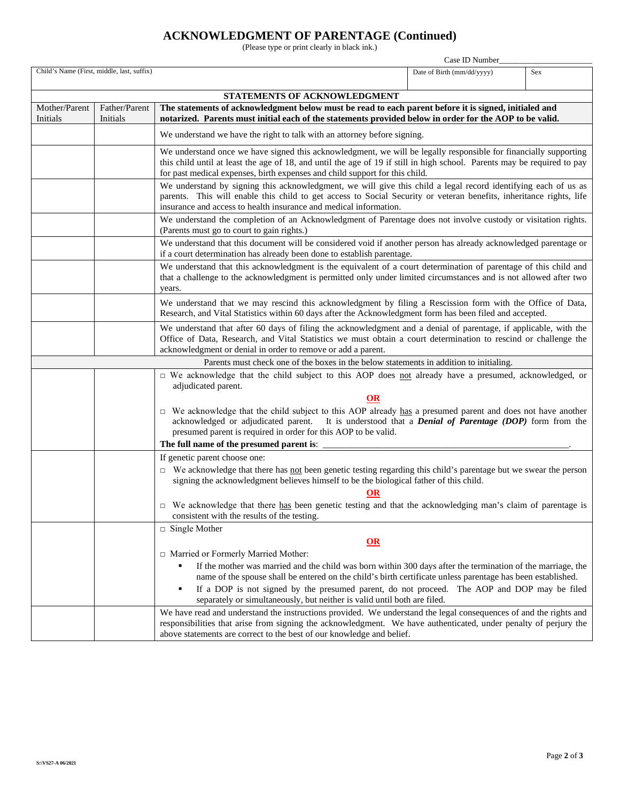# **ACKNOWLEDGMENT OF PARENTAGE (Continued)**

(Please type or print clearly in black ink.)

|                                                                                                                                                                                                                                                                                                                |                                                                                                                                                                                                                                                                                                                                                                                                                                               | Case ID Number                                                                                                                                                                                                                                                                                                              |                            |            |  |  |  |  |  |  |
|----------------------------------------------------------------------------------------------------------------------------------------------------------------------------------------------------------------------------------------------------------------------------------------------------------------|-----------------------------------------------------------------------------------------------------------------------------------------------------------------------------------------------------------------------------------------------------------------------------------------------------------------------------------------------------------------------------------------------------------------------------------------------|-----------------------------------------------------------------------------------------------------------------------------------------------------------------------------------------------------------------------------------------------------------------------------------------------------------------------------|----------------------------|------------|--|--|--|--|--|--|
|                                                                                                                                                                                                                                                                                                                | Child's Name (First, middle, last, suffix)                                                                                                                                                                                                                                                                                                                                                                                                    |                                                                                                                                                                                                                                                                                                                             | Date of Birth (mm/dd/yyyy) | <b>Sex</b> |  |  |  |  |  |  |
| STATEMENTS OF ACKNOWLEDGMENT                                                                                                                                                                                                                                                                                   |                                                                                                                                                                                                                                                                                                                                                                                                                                               |                                                                                                                                                                                                                                                                                                                             |                            |            |  |  |  |  |  |  |
| Mother/Parent<br>Initials                                                                                                                                                                                                                                                                                      | Father/Parent<br>The statements of acknowledgment below must be read to each parent before it is signed, initialed and<br>notarized. Parents must initial each of the statements provided below in order for the AOP to be valid.<br>Initials                                                                                                                                                                                                 |                                                                                                                                                                                                                                                                                                                             |                            |            |  |  |  |  |  |  |
|                                                                                                                                                                                                                                                                                                                | We understand we have the right to talk with an attorney before signing.                                                                                                                                                                                                                                                                                                                                                                      |                                                                                                                                                                                                                                                                                                                             |                            |            |  |  |  |  |  |  |
|                                                                                                                                                                                                                                                                                                                |                                                                                                                                                                                                                                                                                                                                                                                                                                               | We understand once we have signed this acknowledgment, we will be legally responsible for financially supporting<br>this child until at least the age of 18, and until the age of 19 if still in high school. Parents may be required to pay<br>for past medical expenses, birth expenses and child support for this child. |                            |            |  |  |  |  |  |  |
|                                                                                                                                                                                                                                                                                                                | We understand by signing this acknowledgment, we will give this child a legal record identifying each of us as<br>parents. This will enable this child to get access to Social Security or veteran benefits, inheritance rights, life<br>insurance and access to health insurance and medical information.                                                                                                                                    |                                                                                                                                                                                                                                                                                                                             |                            |            |  |  |  |  |  |  |
|                                                                                                                                                                                                                                                                                                                | We understand the completion of an Acknowledgment of Parentage does not involve custody or visitation rights.<br>(Parents must go to court to gain rights.)                                                                                                                                                                                                                                                                                   |                                                                                                                                                                                                                                                                                                                             |                            |            |  |  |  |  |  |  |
|                                                                                                                                                                                                                                                                                                                | We understand that this document will be considered void if another person has already acknowledged parentage or<br>if a court determination has already been done to establish parentage.<br>We understand that this acknowledgment is the equivalent of a court determination of parentage of this child and<br>that a challenge to the acknowledgment is permitted only under limited circumstances and is not allowed after two<br>years. |                                                                                                                                                                                                                                                                                                                             |                            |            |  |  |  |  |  |  |
|                                                                                                                                                                                                                                                                                                                |                                                                                                                                                                                                                                                                                                                                                                                                                                               |                                                                                                                                                                                                                                                                                                                             |                            |            |  |  |  |  |  |  |
|                                                                                                                                                                                                                                                                                                                | Research, and Vital Statistics within 60 days after the Acknowledgment form has been filed and accepted.                                                                                                                                                                                                                                                                                                                                      | We understand that we may rescind this acknowledgment by filing a Rescission form with the Office of Data,                                                                                                                                                                                                                  |                            |            |  |  |  |  |  |  |
| We understand that after 60 days of filing the acknowledgment and a denial of parentage, if applicable, with the<br>Office of Data, Research, and Vital Statistics we must obtain a court determination to rescind or challenge the<br>acknowledgment or denial in order to remove or add a parent.            |                                                                                                                                                                                                                                                                                                                                                                                                                                               |                                                                                                                                                                                                                                                                                                                             |                            |            |  |  |  |  |  |  |
|                                                                                                                                                                                                                                                                                                                |                                                                                                                                                                                                                                                                                                                                                                                                                                               | Parents must check one of the boxes in the below statements in addition to initialing.                                                                                                                                                                                                                                      |                            |            |  |  |  |  |  |  |
|                                                                                                                                                                                                                                                                                                                |                                                                                                                                                                                                                                                                                                                                                                                                                                               | □ We acknowledge that the child subject to this AOP does not already have a presumed, acknowledged, or<br>adjudicated parent.                                                                                                                                                                                               |                            |            |  |  |  |  |  |  |
| OR<br>$\Box$ We acknowledge that the child subject to this AOP already has a presumed parent and does not have another<br>acknowledged or adjudicated parent. It is understood that a <i>Denial of Parentage (DOP)</i> form from the<br>presumed parent is required in order for this AOP to be valid.         |                                                                                                                                                                                                                                                                                                                                                                                                                                               |                                                                                                                                                                                                                                                                                                                             |                            |            |  |  |  |  |  |  |
|                                                                                                                                                                                                                                                                                                                |                                                                                                                                                                                                                                                                                                                                                                                                                                               |                                                                                                                                                                                                                                                                                                                             |                            |            |  |  |  |  |  |  |
|                                                                                                                                                                                                                                                                                                                |                                                                                                                                                                                                                                                                                                                                                                                                                                               | If genetic parent choose one:                                                                                                                                                                                                                                                                                               |                            |            |  |  |  |  |  |  |
|                                                                                                                                                                                                                                                                                                                |                                                                                                                                                                                                                                                                                                                                                                                                                                               | $\Box$ We acknowledge that there has not been genetic testing regarding this child's parentage but we swear the person<br>signing the acknowledgment believes himself to be the biological father of this child.                                                                                                            |                            |            |  |  |  |  |  |  |
|                                                                                                                                                                                                                                                                                                                |                                                                                                                                                                                                                                                                                                                                                                                                                                               | <b>OR</b><br>$\Box$ We acknowledge that there has been genetic testing and that the acknowledging man's claim of parentage is<br>consistent with the results of the testing.                                                                                                                                                |                            |            |  |  |  |  |  |  |
|                                                                                                                                                                                                                                                                                                                | $\Box$ Single Mother<br>OR                                                                                                                                                                                                                                                                                                                                                                                                                    |                                                                                                                                                                                                                                                                                                                             |                            |            |  |  |  |  |  |  |
|                                                                                                                                                                                                                                                                                                                |                                                                                                                                                                                                                                                                                                                                                                                                                                               | □ Married or Formerly Married Mother:                                                                                                                                                                                                                                                                                       |                            |            |  |  |  |  |  |  |
|                                                                                                                                                                                                                                                                                                                |                                                                                                                                                                                                                                                                                                                                                                                                                                               | If the mother was married and the child was born within 300 days after the termination of the marriage, the<br>name of the spouse shall be entered on the child's birth certificate unless parentage has been established.                                                                                                  |                            |            |  |  |  |  |  |  |
|                                                                                                                                                                                                                                                                                                                |                                                                                                                                                                                                                                                                                                                                                                                                                                               | If a DOP is not signed by the presumed parent, do not proceed. The AOP and DOP may be filed<br>separately or simultaneously, but neither is valid until both are filed.                                                                                                                                                     |                            |            |  |  |  |  |  |  |
| We have read and understand the instructions provided. We understand the legal consequences of and the rights and<br>responsibilities that arise from signing the acknowledgment. We have authenticated, under penalty of perjury the<br>above statements are correct to the best of our knowledge and belief. |                                                                                                                                                                                                                                                                                                                                                                                                                                               |                                                                                                                                                                                                                                                                                                                             |                            |            |  |  |  |  |  |  |